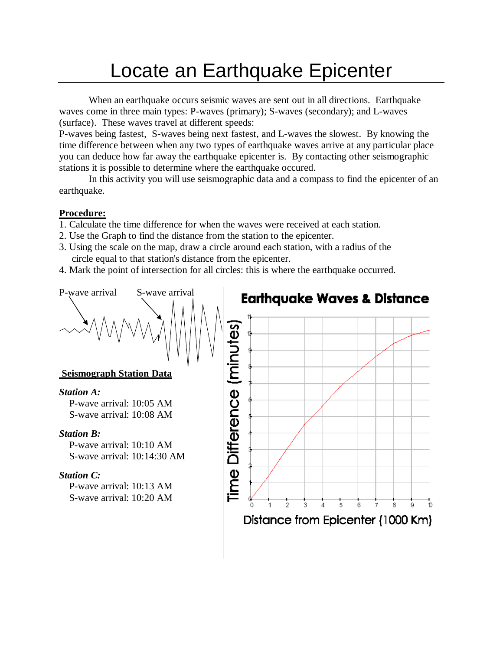## Locate an Earthquake Epicenter

When an earthquake occurs seismic waves are sent out in all directions. Earthquake waves come in three main types: P-waves (primary); S-waves (secondary); and L-waves (surface). These waves travel at different speeds:

P-waves being fastest, S-waves being next fastest, and L-waves the slowest. By knowing the time difference between when any two types of earthquake waves arrive at any particular place you can deduce how far away the earthquake epicenter is. By contacting other seismographic stations it is possible to determine where the earthquake occured.

In this activity you will use seismographic data and a compass to find the epicenter of an earthquake.

## **Procedure:**

- 1. Calculate the time difference for when the waves were received at each station.
- 2. Use the Graph to find the distance from the station to the epicenter.
- 3. Using the scale on the map, draw a circle around each station, with a radius of the circle equal to that station's distance from the epicenter.
- 4. Mark the point of intersection for all circles: this is where the earthquake occurred.